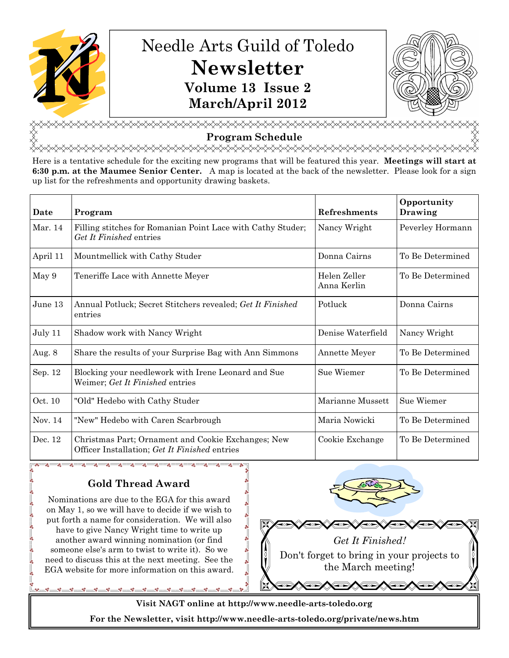

# Needle Arts Guild of Toledo **Newsletter Volume 13 Issue 2 March/April 2012**



**Program Schedule** 

<del></del>

Here is a tentative schedule for the exciting new programs that will be featured this year. **Meetings will start at 6:30 p.m. at the Maumee Senior Center.** A map is located at the back of the newsletter. Please look for a sign up list for the refreshments and opportunity drawing baskets.

| Date     | Program                                                                                             | Refreshments                | Opportunity<br>Drawing |
|----------|-----------------------------------------------------------------------------------------------------|-----------------------------|------------------------|
| Mar. 14  | Filling stitches for Romanian Point Lace with Cathy Studer;<br>Get It Finished entries              | Nancy Wright                | Peverley Hormann       |
| April 11 | Mountmellick with Cathy Studer                                                                      | Donna Cairns                | To Be Determined       |
| May 9    | Teneriffe Lace with Annette Meyer                                                                   | Helen Zeller<br>Anna Kerlin | To Be Determined       |
| June 13  | Annual Potluck; Secret Stitchers revealed; Get It Finished<br>entries                               | Potluck                     | Donna Cairns           |
| July 11  | Shadow work with Nancy Wright                                                                       | Denise Waterfield           | Nancy Wright           |
| Aug. 8   | Share the results of your Surprise Bag with Ann Simmons                                             | Annette Meyer               | To Be Determined       |
| Sep. 12  | Blocking your needlework with Irene Leonard and Sue<br>Weimer; Get It Finished entries              | Sue Wiemer                  | To Be Determined       |
| Oct. 10  | "Old" Hedebo with Cathy Studer                                                                      | Marianne Mussett            | Sue Wiemer             |
| Nov. 14  | "New" Hedebo with Caren Scarbrough                                                                  | Maria Nowicki               | To Be Determined       |
| Dec. 12  | Christmas Part; Ornament and Cookie Exchanges; New<br>Officer Installation; Get It Finished entries | Cookie Exchange             | To Be Determined       |

## **Gold Thread Award**

 $\sim$   $\sim$ 

Nominations are due to the EGA for this award on May 1, so we will have to decide if we wish to put forth a name for consideration. We will also have to give Nancy Wright time to write up another award winning nomination (or find someone else's arm to twist to write it). So we need to discuss this at the next meeting. See the EGA website for more information on this award.





**Visit NAGT online at http://www.needle-arts-toledo.org** 

**For the Newsletter, visit http://www.needle-arts-toledo.org/private/news.htm**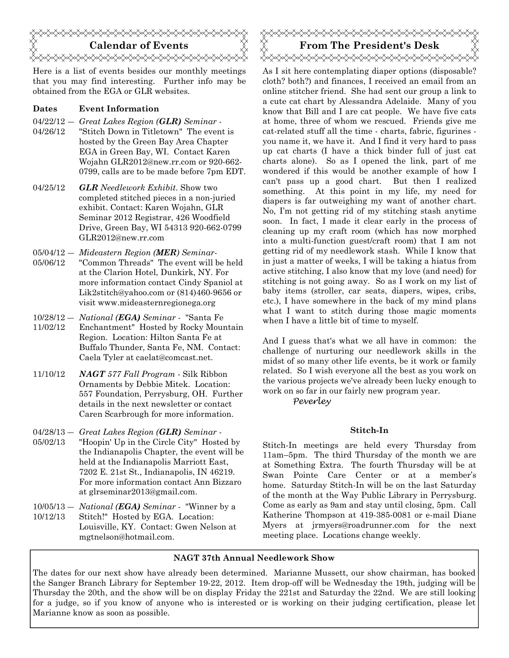

Here is a list of events besides our monthly meetings that you may find interesting. Further info may be obtained from the EGA or GLR websites.

#### **Dates Event Information**

- 04/22/12 ― *Great Lakes Region (GLR) Seminar*  04/26/12 "Stitch Down in Titletown" The event is hosted by the Green Bay Area Chapter EGA in Green Bay, WI. Contact Karen Wojahn GLR2012@new.rr.com or 920-662- 0799, calls are to be made before 7pm EDT.
- 04/25/12 *GLR Needlework Exhibit*. Show two completed stitched pieces in a non-juried exhibit. Contact: Karen Wojahn, GLR Seminar 2012 Registrar, 426 Woodfield Drive, Green Bay, WI 54313 920-662-0799 GLR2012@new.rr.com

05/04/12 ― *Mideastern Region (MER) Seminar*-

- 05/06/12 "Common Threads" The event will be held at the Clarion Hotel, Dunkirk, NY. For more information contact Cindy Spaniol at Lik2stitch@yahoo.com or (814)460-9656 or visit www.mideasternregionega.org
- 10/28/12 ― *National (EGA) Seminar* "Santa Fe
- 11/02/12 Enchantment" Hosted by Rocky Mountain Region. Location: Hilton Santa Fe at Buffalo Thunder, Santa Fe, NM. Contact: Caela Tyler at caelat@comcast.net.
- 11/10/12 *NAGT 577 Fall Program* Silk Ribbon Ornaments by Debbie Mitek. Location: 557 Foundation, Perrysburg, OH. Further details in the next newsletter or contact Caren Scarbrough for more information.

04/28/13 ― *Great Lakes Region (GLR) Seminar -* 

- 05/02/13 "Hoopin' Up in the Circle City" Hosted by the Indianapolis Chapter, the event will be held at the Indianapolis Marriott East, 7202 E. 21st St., Indianapolis, IN 46219. For more information contact Ann Bizzaro at glrseminar2013@gmail.com.
- 10/05/13 ― *National (EGA) Seminar* "Winner by a 10/12/13 Stitch!" Hosted by EGA. Location: Louisville, KY. Contact: Gwen Nelson at mgtnelson@hotmail.com.

## **Calendar of Events**  $\mathbb{X} \times \mathbb{X}$  **From The President's Desk** <del></del>

As I sit here contemplating diaper options (disposable? cloth? both?) and finances, I received an email from an online stitcher friend. She had sent our group a link to a cute cat chart by Alessandra Adelaide. Many of you know that Bill and I are cat people. We have five cats at home, three of whom we rescued. Friends give me cat-related stuff all the time - charts, fabric, figurines you name it, we have it. And I find it very hard to pass up cat charts (I have a thick binder full of just cat charts alone). So as I opened the link, part of me wondered if this would be another example of how I can't pass up a good chart. But then I realized something. At this point in my life, my need for diapers is far outweighing my want of another chart. No, I'm not getting rid of my stitching stash anytime soon. In fact, I made it clear early in the process of cleaning up my craft room (which has now morphed into a multi-function guest/craft room) that I am not getting rid of my needlework stash. While I know that in just a matter of weeks, I will be taking a hiatus from active stitching, I also know that my love (and need) for stitching is not going away. So as I work on my list of baby items (stroller, car seats, diapers, wipes, cribs, etc.), I have somewhere in the back of my mind plans what I want to stitch during those magic moments when I have a little bit of time to myself.

And I guess that's what we all have in common: the challenge of nurturing our needlework skills in the midst of so many other life events, be it work or family related. So I wish everyone all the best as you work on the various projects we've already been lucky enough to work on so far in our fairly new program year.

Peverley

#### **Stitch-In**

Stitch-In meetings are held every Thursday from 11am–5pm. The third Thursday of the month we are at Something Extra. The fourth Thursday will be at Swan Pointe Care Center or at a member's home. Saturday Stitch-In will be on the last Saturday of the month at the Way Public Library in Perrysburg. Come as early as 9am and stay until closing, 5pm. Call Katherine Thompson at 419-385-0081 or e-mail Diane Myers at jrmyers@roadrunner.com for the next meeting place. Locations change weekly.

#### **NAGT 37th Annual Needlework Show**

The dates for our next show have already been determined. Marianne Mussett, our show chairman, has booked the Sanger Branch Library for September 19-22, 2012. Item drop-off will be Wednesday the 19th, judging will be Thursday the 20th, and the show will be on display Friday the 221st and Saturday the 22nd. We are still looking for a judge, so if you know of anyone who is interested or is working on their judging certification, please let Marianne know as soon as possible.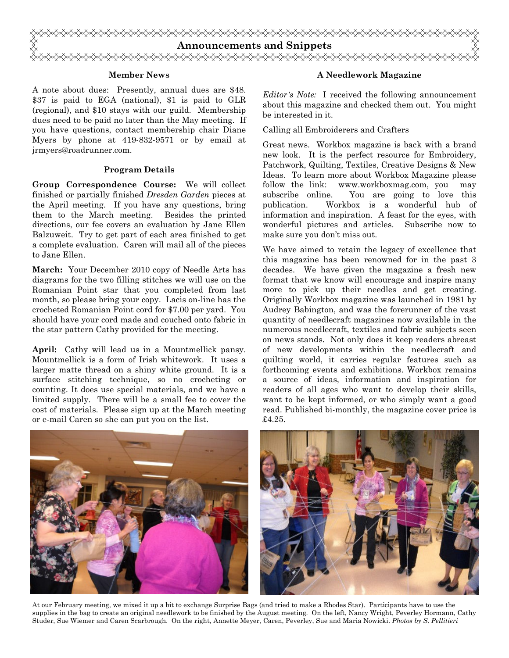

#### **Member News**

A note about dues: Presently, annual dues are \$48. \$37 is paid to EGA (national), \$1 is paid to GLR (regional), and \$10 stays with our guild. Membership dues need to be paid no later than the May meeting. If you have questions, contact membership chair Diane Myers by phone at 419-832-9571 or by email at jrmyers@roadrunner.com.

#### **Program Details**

**Group Correspondence Course:** We will collect finished or partially finished *Dresden Garden* pieces at the April meeting. If you have any questions, bring them to the March meeting. Besides the printed directions, our fee covers an evaluation by Jane Ellen Balzuweit. Try to get part of each area finished to get a complete evaluation. Caren will mail all of the pieces to Jane Ellen.

**March:** Your December 2010 copy of Needle Arts has diagrams for the two filling stitches we will use on the Romanian Point star that you completed from last month, so please bring your copy. Lacis on-line has the crocheted Romanian Point cord for \$7.00 per yard. You should have your cord made and couched onto fabric in the star pattern Cathy provided for the meeting.

**April:** Cathy will lead us in a Mountmellick pansy. Mountmellick is a form of Irish whitework. It uses a larger matte thread on a shiny white ground. It is a surface stitching technique, so no crocheting or counting. It does use special materials, and we have a limited supply. There will be a small fee to cover the cost of materials. Please sign up at the March meeting or e-mail Caren so she can put you on the list.

#### **A Needlework Magazine**

*Editor's Note:* I received the following announcement about this magazine and checked them out. You might be interested in it.

Calling all Embroiderers and Crafters

Great news. Workbox magazine is back with a brand new look. It is the perfect resource for Embroidery, Patchwork, Quilting, Textiles, Creative Designs & New Ideas. To learn more about Workbox Magazine please follow the link: www.workboxmag.com, you may subscribe online. You are going to love this publication. Workbox is a wonderful hub of information and inspiration. A feast for the eyes, with wonderful pictures and articles. Subscribe now to make sure you don't miss out.

We have aimed to retain the legacy of excellence that this magazine has been renowned for in the past 3 decades. We have given the magazine a fresh new format that we know will encourage and inspire many more to pick up their needles and get creating. Originally Workbox magazine was launched in 1981 by Audrey Babington, and was the forerunner of the vast quantity of needlecraft magazines now available in the numerous needlecraft, textiles and fabric subjects seen on news stands. Not only does it keep readers abreast of new developments within the needlecraft and quilting world, it carries regular features such as forthcoming events and exhibitions. Workbox remains a source of ideas, information and inspiration for readers of all ages who want to develop their skills, want to be kept informed, or who simply want a good read. Published bi-monthly, the magazine cover price is £4.25.



At our February meeting, we mixed it up a bit to exchange Surprise Bags (and tried to make a Rhodes Star). Participants have to use the supplies in the bag to create an original needlework to be finished by the August meeting. On the left, Nancy Wright, Peverley Hormann, Cathy Studer, Sue Wiemer and Caren Scarbrough. On the right, Annette Meyer, Caren, Peverley, Sue and Maria Nowicki. *Photos by S. Pellitieri*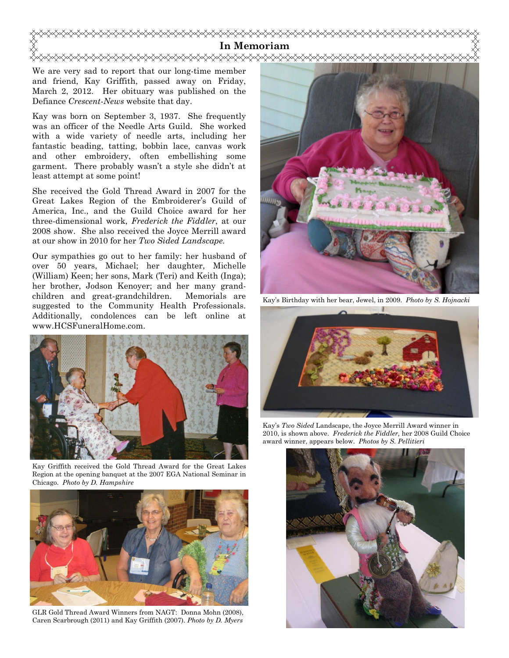

We are very sad to report that our long-time member and friend, Kay Griffith, passed away on Friday, March 2, 2012. Her obituary was published on the Defiance *Crescent-News* website that day.

Kay was born on September 3, 1937. She frequently was an officer of the Needle Arts Guild. She worked with a wide variety of needle arts, including her fantastic beading, tatting, bobbin lace, canvas work and other embroidery, often embellishing some garment. There probably wasn't a style she didn't at least attempt at some point!

She received the Gold Thread Award in 2007 for the Great Lakes Region of the Embroiderer's Guild of America, Inc., and the Guild Choice award for her three-dimensional work, *Frederick the Fiddler*, at our 2008 show. She also received the Joyce Merrill award at our show in 2010 for her *Two Sided Landscape.* 

Our sympathies go out to her family: her husband of over 50 years, Michael; her daughter, Michelle (William) Keen; her sons, Mark (Teri) and Keith (Inga); her brother, Jodson Kenoyer; and her many grandchildren and great-grandchildren. Memorials are suggested to the Community Health Professionals. Additionally, condolences can be left online at www.HCSFuneralHome.com.



Kay Griffith received the Gold Thread Award for the Great Lakes Region at the opening banquet at the 2007 EGA National Seminar in Chicago. *Photo by D. Hampshire*



GLR Gold Thread Award Winners from NAGT: Donna Mohn (2008), Caren Scarbrough (2011) and Kay Griffith (2007). *Photo by D. Myers* 



Kay's Birthday with her bear, Jewel, in 2009. *Photo by S. Hojnacki* 



Kay's *Two Sided* Landscape, the Joyce Merrill Award winner in 2010, is shown above. *Frederick the Fiddler,* her 2008 Guild Choice award winner, appears below. *Photos by S. Pellitieri* 

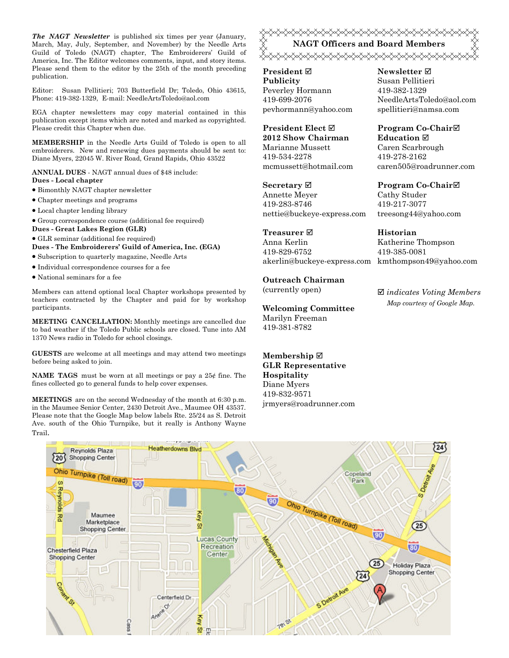*The NAGT Newsletter* is published six times per year (January, March, May, July, September, and November) by the Needle Arts Guild of Toledo (NAGT) chapter, The Embroiderers' Guild of America, Inc. The Editor welcomes comments, input, and story items. Please send them to the editor by the 25th of the month preceding publication.

Editor: Susan Pellitieri; 703 Butterfield Dr; Toledo, Ohio 43615, Phone: 419-382-1329, E-mail: NeedleArtsToledo@aol.com

EGA chapter newsletters may copy material contained in this publication except items which are noted and marked as copyrighted. Please credit this Chapter when due.

**MEMBERSHIP** in the Needle Arts Guild of Toledo is open to all embroiderers. New and renewing dues payments should be sent to: Diane Myers, 22045 W. River Road, Grand Rapids, Ohio 43522

**ANNUAL DUES** - NAGT annual dues of \$48 include: **Dues - Local chapter** 

- Bimonthly NAGT chapter newsletter
- Chapter meetings and programs
- Local chapter lending library
- Group correspondence course (additional fee required)
- **Dues Great Lakes Region (GLR)**
- GLR seminar (additional fee required)

**Dues - The Embroiderers' Guild of America, Inc. (EGA)** 

- Subscription to quarterly magazine, Needle Arts
- Individual correspondence courses for a fee
- National seminars for a fee

Members can attend optional local Chapter workshops presented by teachers contracted by the Chapter and paid for by workshop participants.

**MEETING CANCELLATION:** Monthly meetings are cancelled due to bad weather if the Toledo Public schools are closed. Tune into AM 1370 News radio in Toledo for school closings.

**GUESTS** are welcome at all meetings and may attend two meetings before being asked to join.

**NAME TAGS** must be worn at all meetings or pay a 25¢ fine. The fines collected go to general funds to help cover expenses.

**MEETINGS** are on the second Wednesday of the month at 6:30 p.m. in the Maumee Senior Center, 2430 Detroit Ave., Maumee OH 43537. Please note that the Google Map below labels Rte. 25/24 as S. Detroit Ave. south of the Ohio Turnpike, but it really is Anthony Wayne Trail.

### <del></del> **NAGT Officers and Board Members**  <sub></sub><sub></sub>

**President Publicity**  Peverley Hormann 419-699-2076 pevhormann@yahoo.com

**President Elect 2012 Show Chairman**  Marianne Mussett 419-534-2278 mcmussett@hotmail.com

**Secretary** Annette Meyer 419-283-8746 nettie@buckeye-express.com

### **Treasurer**

Anna Kerlin 419-829-6752 akerlin@buckeye-express.com kmthompson49@yahoo.com

#### **Outreach Chairman**

(currently open)

#### **Welcoming Committee**

Marilyn Freeman 419-381-8782

**Membership GLR Representative Hospitality**  Diane Myers 419-832-9571 jrmyers@roadrunner.com **Newsletter**  Susan Pellitieri 419-382-1329 NeedleArtsToledo@aol.com spellitieri@namsa.com

**Program Co-Chair Education**  Caren Scarbrough 419-278-2162 caren505@roadrunner.com

**Program Co-Chair** Cathy Studer 419-217-3077 treesong44@yahoo.com

**Historian** Katherine Thompson 419-385-0081

 *indicates Voting Members Map courtesy of Google Map.*